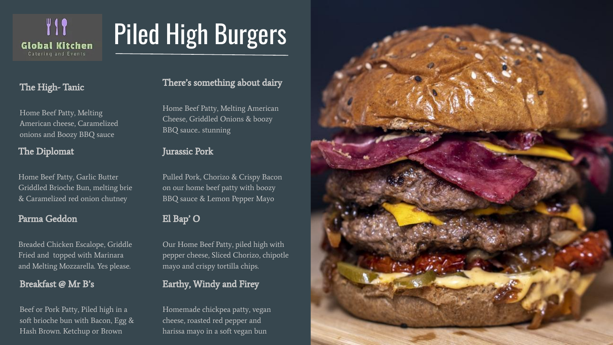

# Piled High Burgers

# The High- Tanic

Home Beef Patty, Melting American cheese, Caramelized onions and Boozy BBQ sauce

### The Diplomat

Home Beef Patty, Garlic Butter Griddled Brioche Bun, melting brie & Caramelized red onion chutney

#### Parma Geddon

Breaded Chicken Escalope, Griddle Fried and topped with Marinara and Melting Mozzarella. Yes please.

### Breakfast @ Mr B's

Beef or Pork Patty, Piled high in a soft brioche bun with Bacon, Egg & Hash Brown. Ketchup or Brown

### There's something about dairy

Home Beef Patty, Melting American Cheese, Griddled Onions & boozy BBQ sauce.. stunning

#### Jurassic Pork

Pulled Pork, Chorizo & Crispy Bacon on our home beef patty with boozy BBQ sauce & Lemon Pepper Mayo

# El Bap' O

Our Home Beef Patty, piled high with pepper cheese, Sliced Chorizo, chipotle mayo and crispy tortilla chips.

# Earthy, Windy and Firey

Homemade chickpea patty, vegan cheese, roasted red pepper and harissa mayo in a soft vegan bun